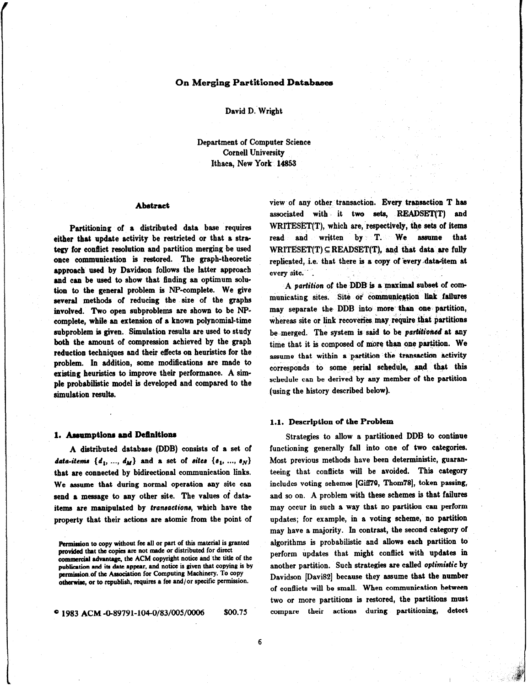# On Merging Partitioned Databases

#### David D. Wright

Department of Computer Science Cornell University Ithaca, New York 14858

## Abstract

Partitioning of a distributed data base requires either that update activity be restricted or that a stre tegy for conflict resolution and partition merging be used once communication is restored. The graph-theoretic approach used by Davidson follows the latter approach and can be used to show that finding an optimum solution to the general problem is NP-complete. We give several methods of reducing the size of the graphs involved. Two open subproblems are shown to be NPcomplete, while an extension of a known polynomial-time subproblem is given. Simulation results are used to study both the amount of compression achieved by the graph reduction techniques and their effects on heuristics for the problem. In addition, some modifications are made to existing heuristics to improve their performance. A simple probabilistic model is developed and compared to the simulation results.

#### 1. Assumptions and Definitions

A distributed database (DDB) consists of a set of data-items  $\{d_1, ..., d_M\}$  and a set of sites  $\{s_1, ..., s_N\}$ that are connected by bidirectional communication links. We assume that during normal operation any site can send a message to any other site. The values of dataitems are manipulated by transactions, which have the property that their actions are atomic from the point of

e 1983 ACM 4%89791-1040/83/005/0006 \$00.75

view of any other transaction. Every transaction  $T$  has associated with it two sets, READSET(T) and WRITESET(T), which are, respectively, the sets of items read and written by T. We assume that  $WRITESET(T) \subseteq READSET(T)$ , and that data are fully replicated, i.e. that there is a copy of every data-item at every site.

A parlition of the DDB ls a maximal subset of communicating sites. Site or communication link failures may separate the DDB into more than one partition, whereas site or link recoveries may require that partitions be merged. The system is said to be partitioned at any time that it is composed of more than one partition. We assume that within a partition the transaction activity corresponds to some serial schedule, and that this schedule can be derived by any member of the partition (using the history described below).

#### 1.1. Description of the Problem

Strategies to allow a partitioned DDB to continue functioning generally fall into one of two categories. Most previous methods have been deterministic, guaranteeing that conflicts will be avoided. This category includes voting schemes [Gifl70, Thom78], token passing, and so on. A problem with these schemes is that failures may occur in such a way that no partition can perform updates; for example, in a voting scheme, no partition may have a majority. In contrast, the second category of algorithms is probabilistic and allows each partition to perform updates that might conflict with updates in another partition. Such strategies are called optimistic by Davidson [Davi82] because they assume that the number of conflicts will be small. When communication between two or more partitions is restored, the partitions must compare their actions during partitioning, detect

Permission to copy without fee all or part of this material is granted provided that the copies are not made or distributed for direct commercial advantage, the ACM copyright notice and the title of the publication and its date appear, and notice is given that copying is by permission of the Association for Computing Machinery. To copy otherwise, or to republish, requires a fee and/or specific permission.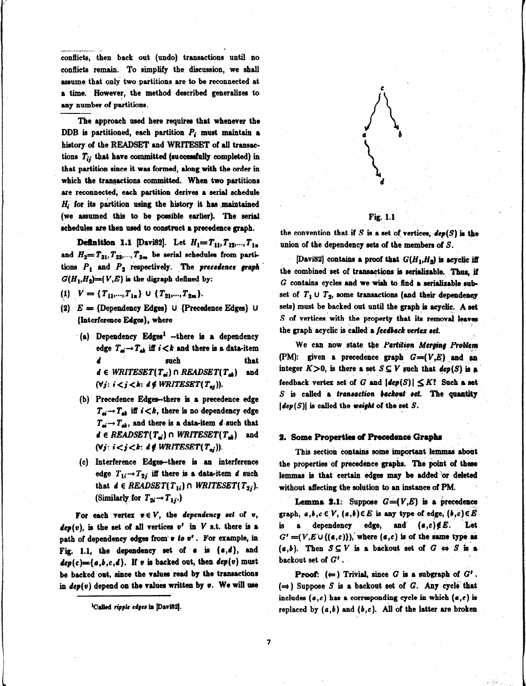.--\_ conflicts, then back out (undo) transactions until no conflicts remain. To simplify the discussion, we shall assume that only two partitions are to be reconnected at a time. However, the method described generalizes to any number of partitions. --

The approach used here requires that whenever the DDB is partitioned, each partition  $P_i$  must maintain a history of the READSET and WRITESET of all transactions  $T_{ij}$  that have committed (successfully completed) in that partition since it was formed, along with the order in which the transactions committed. When two partitions are reconnected, each partition derives a serial schedule  $H<sub>i</sub>$  for its partition using the history it has maintained (we assumed this to be possible earlier). The serial schedules are then used to construct a precedence graph.

Definition 1.1 [Davi82]. Let  $H_1 = T_{11}, T_{12},..., T_{1n}$ and  $H_2 = T_{21}, T_{22},..., T_{2m}$  be serial schedules from partitions  $P_1$  and  $P_2$  respectively. The precedence graph  $G(H_1,H_2)=(V,E)$  is the digraph defined by:

(1)  $V = {T_{11},...,T_{1n}} \cup {T_{21},...,T_{2m}}.$ 

- (2)  $E = {Dependency Edges}$  U {Precedence Edges} U {Interference Edges}, where
	- (a) Dependency Edges<sup>1</sup> -- there is a dependency edge  $T_{di} \rightarrow T_{di}$  iff  $i < k$  and there is a data-item d such that d such that<br>d  $\in$  WRITESET(T<sub>a</sub>)  $\cap$  READSET(T<sub>a</sub>) and ( $\forall j: i < j < k: d \notin WRITESET(T_{aj}))$ .
	- (b) Precedence Edges-there is a precedence edge  $T_{\rm ei} \rightarrow T_{\rm eh}$  iff  $i < k$ , there is no dependency edge  $T_{di} \rightarrow T_{di}$ , and there is a data-item d such that  $d \in READSET(T_{di})$  n WRITESET( $T_{di}$ ) and (Vj:  $i < j < k$ :  $d \notin WRITESET(T_{ai}))$ .
	- (e) Interference Edges-there is an interference edge  $T_{1i} \rightarrow T_{2i}$  iff there is a data-item d such that  $d \in READSET(T_{1i}) \cap WRITESET(T_{2i}).$ (Similarly for  $T_{2i} \rightarrow T_{1i}$ .)

For each vertex  $v \in V$ , the dependency set of v,  $dep(v)$ , is the set of all vertices  $v'$  in V s.t. there is a path of dependency edges from  $v$  to  $v'$ . For example, in Fig. 1.1, the dependency set of  $\epsilon$  is  $\{\epsilon, d\}$ , and  $dep(c) = {a,b,c,d}.$  If v is backed out, then.  $dep(v)$  must be backed opt, since the values read by the transactions in  $dep(v)$  depend on the values written by  $v$ . We will use



# Fig. 1.1

the convention that if S is a set of vertices,  $dep(S)$  is the union of the dependency sets of the members of  $S$ .

[Davi82] contains a proof that  $G(H_1,H_2)$  is acyclic iff the combined set of transactions is serializable. Thus, if  $G$  contains cycles and we wish to find a serializable subset of  $T_1 \cup T_2$ , some transactions (and their dependency sets) must be backed out until the graph is acyclic. A set  $S$  of vertices with the property that its removal leaves the graph acyclic is called a feedback vertex set.

We can now state the Partition Merging Problem (PM): given a precedence graph  $G=(V,E)$  and an integer  $K>0$ , is there a set  $S\subseteq V$  such that  $dep(S)$  is a feedback vertex set of G and  $|dep(S)| \leq K!$  Such a set  $S$  is called a transaction backout set. The quantity  $|dep(S)|$  is called the weight of the set S.

#### 2. Some Properties of Precedence Graphs

This section contains some important lemmas about the properties of precedence graphs. The point of these lemmas is that certain edges may be added or deleted without affecting the solution to an instance of PM.

**Lemma 2.1:** Suppose  $G=(V,E)$  is a precedence graph,  $a,b,c \in V$ ,  $(a,b) \in E$  is any type of edge,  $(b,c) \in E$ is a dependency edge, and  $(a,c)\notin E$ . Let  $G' = (V, E \cup \{(a, c)\})$ , where  $(a, c)$  is of the same type as  $(a, b)$ . Then  $S \subseteq V$  is a backout set of  $G \leftrightarrow S$  is a backout set of G' .

**Proof:**  $(\leftarrow)$  Trivial, since G is a subgraph of  $G'$ .  $(\Rightarrow)$  Suppose S is a backout set of G. Any cycle that includes  $(a, c)$  has a corresponding cycle in which  $(a, c)$  is replaced by  $(a,b)$  and  $(b,c)$ . All of the latter are broken

<sup>&</sup>lt;sup>1</sup>Called ripple edges in [Davi82].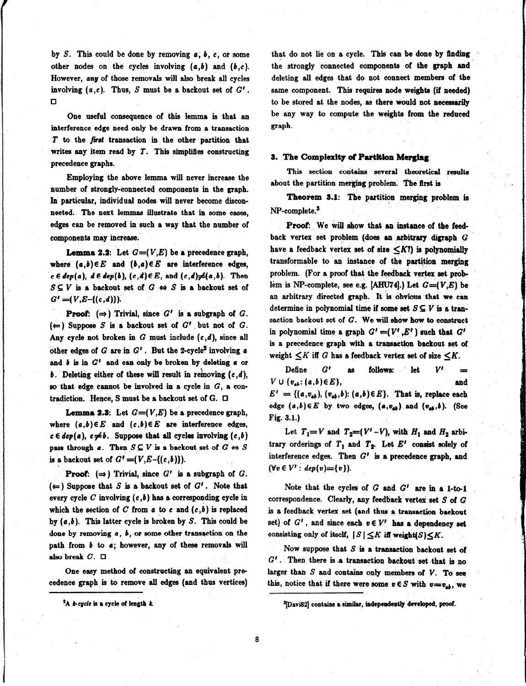by S. This could be done by removing  $a, b, c$ , or some other nodes on the cycles involving  $(a,b)$  and  $(b,c)$ . However, any of those removals will also break all cycles involving  $(a, c)$ . Thus, S must be a backout set of  $G'$ . 0

One useful consequence of this lemma is that an interference edge need only be drawn from a transaction  $T$  to the first transaction in the other partition that writes any item read by  $T$ . This simplifies constructing precedence graphs.

Employing the above lemma will never increase the number of strongly-connected components in the graph. In particular, individual nodes will never become disconnected. The next lemmas illustrate that in some cases, edges can be removed in such a way that the number of components may increase..

**Lemma 2.2:** Let  $G=(V, E)$  be a precedence graph, where  $(a,b) \in E$  and  $(b,a) \in E$  are interference edges,  $c \in dep(a), d \in dep(b), (c,d) \in E$ , and  $(c,d) \neq (a,b)$ . Then  $S \subseteq V$  is a backout set of  $G \leftrightarrow S$  is a backout set of  $G' = (V,E-(c,d))$ .

**Proof:**  $(\Rightarrow)$  Trivial, since  $G'$  is a subgraph of  $G$ .  $(\Leftarrow)$  Suppose S is a backout set of G' but not of G. Any cycle not broken in  $G$  must include  $(c,d)$ , since all other edges of  $G$  are in  $G'$ . But the 2-cycle<sup>2</sup> involving a and  $b$  is in  $G<sup>t</sup>$  and can only be broken by deleting  $a$  or b. Deleting either of these will result in removing  $(c, d)$ , so that edge cannot be involved in a cycle in  $G$ , a contradiction. Hence, S must be a backout set of G.  $\Box$ 

**Lemma 2.3:** Let  $G=(V,E)$  be a precedence graph, where  $(a,b)\in E$  and  $(c,b)\in E$  are interference edges,  $c \in dep(a), c \neq b$ . Suppose that all cycles involving  $(c,b)$ pass through  $a$ . Then  $S \subseteq V$  is a backout set of  $G \Leftrightarrow S$ is a backout set of  $G' = (V, E - \{(c, b)\})$ .

**Proof:**  $(\Rightarrow)$  Trivial, since  $G'$  is a subgraph of  $G$ .  $(\Leftarrow)$  Suppose that S is a backout set of  $G'$ . Note that every cycle C involving  $(c, b)$  has a corresponding cycle in which the section of C from  $a$  to  $c$  and  $(c, b)$  is replaced by  $(a, b)$ . This latter cycle is broken by S. This could be done by removing  $a, b$ , or some other transaction on the path from  $b$  to  $a$ ; however, any of these removals will also break  $C. \Box$ 

One easy method of constructing an equivalent precedence graph is to remove all edges (and thus vertices)

that do not lie on a cycle. This can be done by finding the strongly connected components of the graph and deleting all edges that do not connect members of the same component. This requires node weights (if needed) to be stored at the nodes, as there would not necessarily be any way to compute the weights from the reduced graph.

#### 3. The Complexity of Partition Merging

This section contains several theoretical results about the partition merging problem. The first is

Theorem 8.1: The partition merging problem is NP-complete.<sup>3</sup>

Proof. We will show that an instance of the feedback vertex set problem (does an arbitrary digraph G have a feedback vertex set of size  $\langle K$ ?) is polynomially transformable to an instance of the partition merging problem. (For a proof that the feedback vertex set prob lem is NP-complete, see e.g. [AHU74].) Let  $G=(V,E)$  be an arbitrary directed graph. It 'is obvious that we can determine in polynomial time if some set  $S \subseteq V$  is a transaction backout set of G. We will show how to construct in polynomial time a graph  $G' = (V', E')$  such that  $G'$ is a precedence graph with a transaction backout set of weight  $\leq K$  iff G has a feedback vertex set of size  $\leq K$ .

Define  $G'$  as follows: let  $V'$  $V \cup \{v_{ab}: (a,b) \in E\},$  and  $E' = \{(a,v_{ab}), (v_{ab},b): (a,b) \in E\}$ . That is, replace each edge  $(a,b) \in E$  by two edges,  $(a,v_{ab})$  and  $(v_{ab},b)$ . (See Fig. 3.1.)

Let  $T_1=V$  and  $T_2=(V'-V)$ , with  $H_1$  and  $H_2$  arbitrary orderings of  $T_1$  and  $T_2$ . Let  $E'$  consist solely of interference edges. Then  $G'$  is a precedence graph, and  $(\forall v \in V' : dep(v)=\{v\}).$ 

Note that the cycles of  $G$  and  $G'$  are in a 1-to-1 correspondence. Clearly, any feedback vertex set  $S$  of  $G$ is a feedback vertex set (and thus a transaction baekout set) of  $G'$ , and since each  $v \in V'$  has a dependency set consisting only of itself,  $|S| \leq K$  iff weight(S) $\leq K$ .

Now suppose that  $S$  is a transaction backout set of  $G'$ . Then there is a transaction backout set that is no larger than  $S$  and contains only members of  $V$ . To see this, notice that if there were some  $v \in S$  with  $v=v_{ab}$ , we

 ${}^{2}$ A k-cycle is a cycle of length k.

<sup>&</sup>lt;sup>3</sup>[Davi82] contains a similar, independently developed, proof.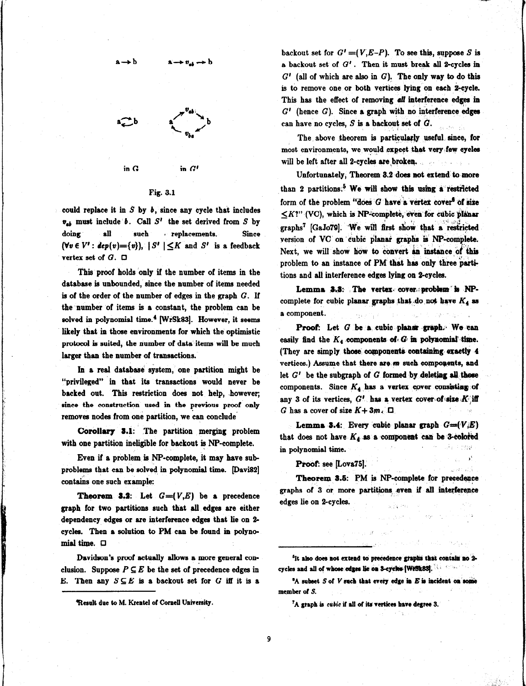

Rig. 3.1

could replace it in  $S$  by  $b$ , since any cycle that includes  $v_{ab}$  must include b. Call S' the set derived from S by doing all such replacements. Since  $(\forall v \in V': dep(v)=\{v\}), |S'|\leq K$  and  $S'$  is a feedback vertex set of  $G$ .  $\square$ 

This proof holds only if the number of items in the database is unbounded, since the number of items needed is of the order of the number of edges in the graph  $G$ . If the number of items is a constant, the problem can be solved in polynomial time.<sup>4</sup> [WrSk83]. However, it seems likely that in those environments for which the optimistic protocol is suited, the number of data' items will be much larger than the number of transactions.

In a real database system, one partition might be "privileged" in that its transactions would never be backed out. This restriction does not help, however; since the construction used in the previous proof only removes nodes from one partition, we can conclude

Corollary 3.1: The partition merging problem with one partition ineligible for backout is NP-complete.

Even if a problem is NP-complete, it may have sub problems that can be solved in polynomial time. [Davi82] contains one such example:

**Theorem 3.2:** Let  $G=(V,E)$  be a precedence graph for two partitions such that all edges are either dependency edges or are interference edges that lie on 2cycles. Then a solution to PM can be found in polynomial time.  $\Box$ 

Davidson's proof actually allows a more general conclusion. Suppose  $P \subseteq E$  be the set of precedence edges in E. Then any  $S \subseteq E$  is a backout set for G iff it is a

backout set for  $G' = (V, E-P)$ . To see this, suppose S is a backout set of  $G'$ . Then it must break all 2-cycles in  $G'$  (all of which are also in  $G$ ). The only way to do this is to remove one or both vertices lying on each Z-cycle. This has the effect of removing all interference edges in  $G'$  (hence  $G$ ). Since a graph with no interference edges can have no cycles,  $S$  is a backout set of  $G$ .

The above theorem is particularly useful since, for most environments, we would expect that very few cycles will be left after all 2-cycles are broken.

Unfortunately, Theorem 9.2 does not extend to more than 2 partitions.<sup>5</sup> We will show this using a restricted form of the problem "does  $G$  have a vertex cover" of size  $\langle K?'' \rangle$  (VC), which is NP-complete, even for cubic planar  $\sim$  ,  $\sim$ graphs<sup>7</sup> [GaJo79]. We will first show that a restricted version of VC' on 'cubic planar graphs is NP-complete. Next, we will show how to convert an instance of this problem to an instance of PM that has only three partitions and all interference edges lying on Zcycles.

Lemma 3.3: The vertex cover: problem is NPcomplete for cubic planar graphs that do not have  $K_4$  as a component.

Proof: Let G be a cubic planar graph. We can easily find the  $K_4$  components of  $G$  in polynomial time. (They are simply those components containing exactly 4 vertices.) Assume that there are m such components, and let  $G'$  be the subgraph of  $G$  formed by deleting all those components. Since  $K_4$  has a vertex cover consisting of any 3 of its vertices,  $G'$  has a vertex cover of size  $K$ ;iff G has a cover of size  $K+3m$ .  $\Box$ 

Lemma 3.4: Every cubie planar graph  $G=(V,E)$ that does not have  $K_4$  as a component can be 3-colored in polynomial time.

> I' '

# Proof: see [Lova75].

Theorem 3.5: PM is NP-complete for precedence graphs of 3 or more partitions even if all interference edges lie on 2-cycles.  $\ddot{\phantom{0}}$ 

1

Result due to M. Krentel of Cornell University.

<sup>&</sup>lt;sup>5</sup>It also does not extend to precedence graphs that contain no 2cycles and all of whose edges lie on 3-cycles [WFS183].

 ${}^6A$  subset  $S$  of  $V$  such that every edge in  $E$  is incident on some member of S.

<sup>&</sup>lt;sup>7</sup>A graph is cubic if all of its vertices have degree 3.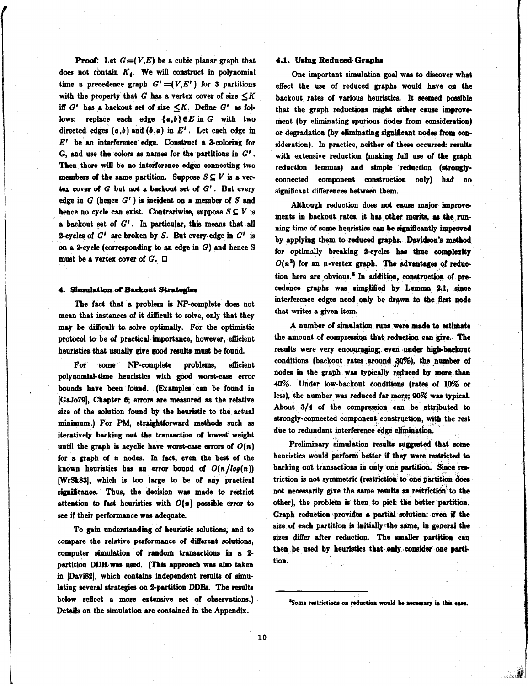**Proof:** Let  $G=(V,E)$  be a cubic planar graph that does not contain  $K_4$ . We will construct in polynomial time a precedence graph  $G' = (V, E')$  for 3 partitions with the property that G has a vertex cover of size  $\leq K$ iff  $G'$  has a backout set of size  $\leq K$ . Define  $G'$  as follows: replace each edge  ${a,b}$   $\in E$  in G with two directed edges  $(a,b)$  and  $(b,a)$  in  $E'$ . Let each edge in  $E'$  be an interference edge. Construct a 3-coloring for G, and use the colors as names for the partitions in  $G'$ . Then there will be no interference edges connecting two members of the same partition. Suppose  $S \subseteq V$  is a vertex cover of  $G$  but not a backout set of  $G'$ . But every edge in  $G$  (hence  $G'$ ) is incident on a member of  $S$  and hence no cycle can exist. Contrariwise, suppose  $S \subseteq V$  is a backout set of  $G'$ . In particular, this means that all 2-cycles of  $G'$  are broken by S. But every edge in  $G'$  is on a 2-cycle (corresponding to an edge in  $G$ ) and hence S must be a vertex cover of  $G$ .  $\Box$ 

## 4. Simulation of Backout Strategies

The fact that a problem is NP-complete does not mean that instances of it difficult to solve, only that they may be difficult to solve optimally. For the optimistic protocol. to be of practical. importance, however, efficient heuristics that usually give good results must be found.

For some NP-complete problems, efficient polynomial-time heuristics with good worst-case error bounds have been found. (Examples can be found in [GaJo79J, Chapter 6; errors are measured ss the relative size of the solution found by the heuristic to the actual minimum.) For PM, straightforward methods such as iteratively backing out the transaction of Iowest weight until the graph is acyclic have worst-case errors of  $O(n)$ for a graph of n nodes. In fact, even the best of the known heuristics has an error bound of  $O(n/log(n))$ (WrSk33J, which is too large to be of any practical significance. Thus, the decision was made to restrict attention to fast heuristics with  $O(n)$  possible error to see if their performance was adequate.

To gain understanding of heuristic solutions, and to compare the relative performance of different solutions, computer simulation of random transactions in a Z partition DDB,was used. (This approach was also taken in [Davi82], which contains independent results of simulating several strategies on 2-partition DDBs. The results below reflect a more extensive set of observations.) Details on the simulation are contained in the Appendix.

# 4.1. Using Reduced- Grapha

One important simulation goal was to discover what effect the use of reduced graphs would have on the backout rates of various heuristics. It seemed possible that the graph reductions might either cause improvement (by eliminating spurious nodes from consideration) or degradation (by eliminating significant nodes from consideration). In practice, neither of these occurred: results with extensive reduction (making full use of the graph reduction lemmas) and simple reduction (stronglyconnected component construction only) had no significant differences between them.

Although reduction does not cause major- improve ments in backout rates, it has other merits, as the running time of some heuristics can be significantly improved by applying them to reduced graphs. Davidson's method for optimally breaking 2-cycles has time complexity  $O(n^3)$  for an n-vertex graph. The advantages of reduction here are obvious. $^8$  In addition, construction of precedence graphs was simplified by Lemma 2.1. since interference edges need only be drawn to the first node that writes a given item.

A number of simulation runs were made to estimate the amount of compression that reduction can give. The results were very encouraging; even under high-backout conditions (backout rates around 30%), the number of nodes in the graph was typically reduced by more than 49%. Under low-backout conditions (ratea, of 49% or less), the number was reduced far more; 90% was typical. About  $3/4$  of the compression can be attributed to strongly-connected component construction, with the rest due to redundant interference edge elimination. .i,

Preliminary simulation results suggested that some heuristics would perform better if they were restricted to backing out transactions in only one partition. Since restriction is not symmetric (restriction to one partition does not necessarily give the same results as restriction to the other), the problem is then to pick the better 'partition. Graph reduction provides a partial solution: even if the size of each partition is initially the same, in general the sizes differ after reduction. The smaller partition can then be used by heuristics that only consider one partition.

<sup>&</sup>lt;sup>8</sup>Some restrictions on reduction would be necessary in this car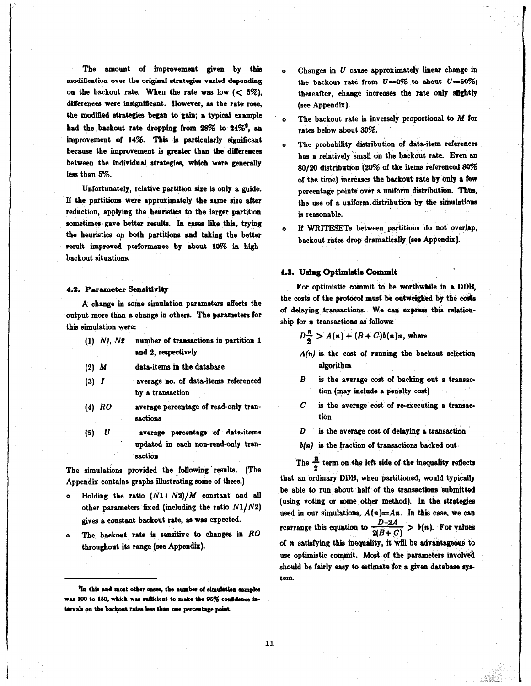The amount of improvement given by this modification over the original strategies varied depending on the backout rate. When the rate was low  $(< 5\%)$ , diflerencea were insignificant. However, as the rate rose, the modiied strategies began to gsin; a typical example had the backout rate dropping from  $28\%$  to  $24\%$ <sup>9</sup>, an improvement of  $14\%$ . This is particularly significant because the improvement is greater than the differences between the individual strategies, which were generally less than 5%.

Unfortunately, relative partition sire is only a guide. If the partitions were approximately the same size after reduction, applying the heuristics to the larger partition sometimes gave better resulta. In casea like this, trying the heuristics on both partitions and taking the better result improved performance by about 10% in highbackout situations.

# 4.2. Parameter Sensitivity

A change in some simulation parameters affects the output more than a change in others. The parameters for this simulation were:

- (1) N1, N2 number of transactions in partition 1 and 2, respectively
- (2)  $M$  data-items in the database
- (3)  $I$  average no. of data-items referenced by a transaction
- (4) RO average percentage of read-only transactions
- $(5)$   $U$  average percentage of data-items updated in each non-read-only transaction

The simulations provided the following 'results. (The Appendix contains graphs illustrating some of these.)

- o Holding the ratio  $(N1+N2)/M$  constant and all other parameters fixed (including the ratio  $N1/N2$ ) gives a constant backout rate, ss was expected.
- o The backout rate is sensitive to changes in  $RO$ throughout its range (see Appendix).
- $o$  Changes in  $U$  cause approximately linear change in the backout rate from  $U=0\%$  to about  $U=50\%$ ; thereafter, change increases the rate only slightly (see Appendix).
- o The backout rate is inversely proportional to M for rates below about 30%.
- The probability distribution of data-item references has a relatively small on the backout rate. Even an 80/20 distribution (20% of the items referenced  $80\%$ of the time) increases the backout rate by only a few percentage points over a uniform distribution. Thus, the use of a uniform distribution by the simulations is reasonable.
- o If WRITESETs between partitions do not overlap, backout rates drop dramatically (see Appendix).

#### 4.3. Using Optimistic Commit

For optimistic commit to be worthwhile in a DDB, the costs of the protocol must be outweighed by the costs of delaying transactions. We can express this relationship for *n* transactions as follows:

 $D\frac{n}{2}$  >  $A(n) + (B + C)b(n)n$ , where

- $A(n)$  is the cost of running the backout selection algorithm
- $B$  is the average cost of backing out a transaction (may include a penalty cost)
- $C$  is the average cost of re-executing a transaction
- $D$  is the average cost of delaying a transaction
- $b(n)$  is the fraction of transactions backed out

The  $\frac{n}{2}$  term on the left side of the inequality reflects that an ordinary DDB, when partitioned, would typically be able to run about half of the transactions submitted (using voting or some other method). In the strategies used in our simulations,  $A(n)=An$ . In this case, we can rearrange this equation to  $\frac{D-2A}{2(B+C)} > b(n)$ . For values of  $n$  satisfying this inequality, it will be advantageous to use optimistic commit. Most of the parameters involved should be fairly easy to estimate for a given database system.

<sup>&</sup>lt;sup>9</sup>In this and most other cases, the number of simulation samples was 100 to 150, which was sufficient to make the 95% confidence intervals on the backout rates less than one percentage point.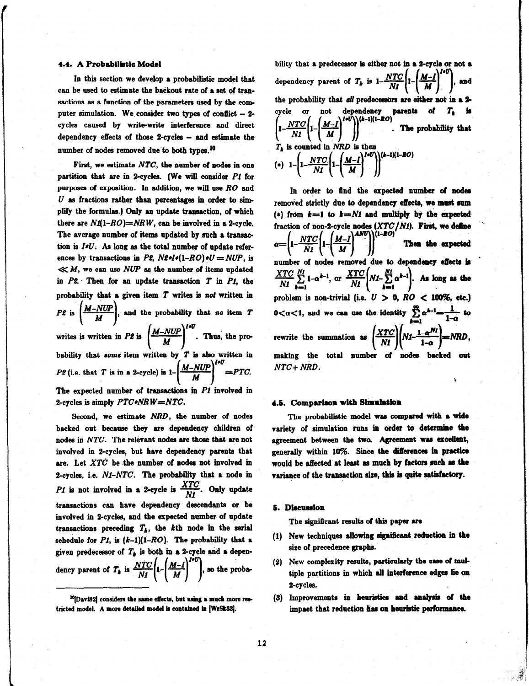#### 4.4. A Probabilistic Model

In this section we develop a probabilistic model that can be used to estimate the backout rate of a set of transactions as a function of the parameters used by the computer simulation. We consider two types of conflict  $-2$ cycles caused by write-write interference and direct dependency effects of those 2-cycles - and estimate the number of nodes removed due to both types.<sup>10</sup>

First, we estimate  $NTC$ , the number of nodes in one partition that are in 2-cycles. (We will consider  $P1$  for purposes of exposition. In addition, we will use  $RO$  and  $U$  as fractions rather than percentages in order to simplify the formulas.) Only an update transaction, of which there are  $N1(1-RO)=NRW$ , can be involved in a 2-cycle. The average number of items updated by such a transaetion is  $I \ast U$ . As long as the total number of update references by transactions in P2,  $N2*I*(1-RO)*U = NUP$ , is  $\ll M$ , we can use NUP as the number of items updated in  $P2$ . Then for an update transaction  $T$  in  $PI$ , the probability that a given item  $T$  writes is not written in . .  $\left(\frac{m-1}{M}\right)$ , and the probability that no item T writes is written in P2 is  $\left[\frac{3\pi-10.24}{16}\right]$ . Thus, the probability that some item written by  $T$  is also written in P2 (i.e. that T is in a 2-cycle) is  $1 - \left(\frac{M - NUP}{M}\right)^{1+U} = PTC$ . The expected number of transactions in  $PI$  involved in 2-cycles is simply  $PTC*NR W = NTC$ . 4.5, Comparison with Simulation

Second, we estimate NRD, the number of nodes The probabilistic model was compared with a wide backed out because they are dependency children of variety of simulation runs in order to determine the nodes in NTC. The relevant nodes are those that are not agreement between the two. Agreement was excellent, involved in 2-cycles, but have dependency parents that generally within 10%. Since the differences in practice are. Let  $XTC$  be the number of nodes not involved in would be affected at least as much by factors such as the 2-cycles, i.e.  $N1-NTC$ . The probability that a node in variance of the transaction size, this is quite satisfactory. P1 is not involved in a 2-cycle is  $\frac{XTC}{M}$ . Only update transactions can have dependency descendants or be involved in 2-cycles, and the expeeted number of update transactions preceding  $T_b$ , the kth node in the serial schedule for  $PI$ , is  $(k-1)(1-RO)$ . The probability that a given predecessor of  $T_k$  is both in a 2-cycle and a dependency parent of  $T_k$  is  $\frac{NTC}{NI} \left( 1 - \left( \frac{M-I}{M} \right)^{1} \right)$ , so the proba-

bility that a predecessor is either not in a 2-cycle or not a dependency parent of  $T_k$  is  $1-\frac{NTC}{NI}\left(1-\left(\frac{M-I}{M}\right)^{1+U}\right)$ , and the probability that all predecessors are either not in a 2cycle or not dependency parents of  $T<sub>k</sub>$  is  $\left|1-\frac{2\cdot\frac{2\cdot\frac{2\cdot\frac{2\cdot\cdot}{2\cdot\cdot}}{2\cdot\frac{2\cdot\cdot}{2\cdot\cdot}}-1}{\frac{2\cdot\frac{2\cdot\cdot}{2\cdot\cdot}}{2\cdot\frac{2\cdot\cdot}{2\cdot\cdot}}-1}\right|$  . The probability that  $T<sub>b</sub>$  is counted in Ni (\*)  $1 - \left(1 - \frac{NTC}{NI}\left(1 - \left(\frac{M-I}{M}\right)^{I+U}\right)\right)^{(k-1)(1-RO)}$ 

In order to find the expected number of nodes removed strictly due to dependency effects, we must sum (\*) from  $k=1$  to  $k=N1$  and multiply by the expected fraction of non-2-cycle nodes  $(XTC/NI)$ . First, we define  $\alpha = \left(1 - \frac{NTC}{NI} \left(1 - \left(\frac{M-I}{M}\right)^{AND}\right)\right)^{(1-RO)}$  Then the expected number of nodes removed due to dependency effects is  $\frac{XTC}{NI} \sum_{k=1}^{NI} 1-\alpha^{k-1}$ , or  $\frac{XTC}{NI} \left(NI - \sum_{k=1}^{NI} \alpha^{k-1}\right)$ . As long as the problem is non-trivial (i.e.  $U > 0$ ,  $RO < 100\%$ , etc.)  $0<\alpha<1$ , and we can use the identity  $\sum \alpha^{k-1} = \frac{1}{\alpha-1}$  to  $\overline{a}$  1-a rewrite the summation as  $\left(\frac{XTC}{N1}\right)\left(N1-\frac{1-\alpha^{N1}}{1-\alpha}\right)=NRD$ , making the total number of nodes backed out  $NTC+ NRD.$ 

## 5. Discussion

The significant results of this paper are

- (1) New techniques allowing significant reduction in the size of precedence graphs..
- (2) New complexity results, particularly the case of multiple partitions in which all interference edges lie on 2-cycles.
- (3) Improvements in heuristics and analysis of the impact that reduction has on heuristic performance.

<sup>&</sup>lt;sup>10</sup>[Davi82] considers the same effects, but using a much more restricted model. A more detailed model is contained in [WrSk83].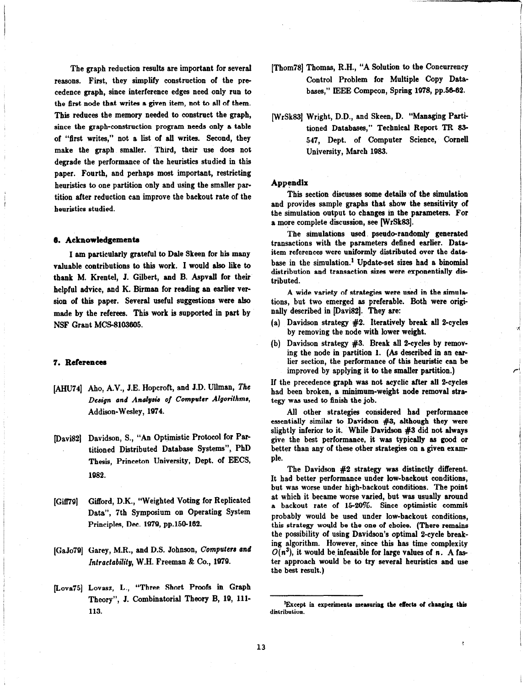The graph reduction results are important for several reasons. First, they simplify construction of the pre cedence graph, since interference edges need only run to the first node that writes a given item, not to all of them. This reduces the memory needed to construct the graph, since the graph-construction program needs only a table of "first writes," not a list of all writes. Second, they make the graph smaller. Third, their use does not degrade the performance of the heuristics studied in this paper. Fourth, and perhaps most important, restricting heuristics to one partition only and using the smaller partition after reduction can improve the backout rate of the heuristics studied.

#### 6. Acknowledgementa

I am particularly grateful to Dale Skeen for his many valuable contributions to this work. I would also like to thank M. Krentel, J. Gilbert, and B. Aspvall for their helpful advice, and K. Birman for reading an earlier version of this paper. Several useful suggestions were also made by the referees. This work is supported in part by NSF Grant MCS-8103605.

## 7. References

- [AHU74] Aho, A.V., J.E. Hopcroft, and J.D. Ullman, The Design and Analysis of Computer Algorithms, Addison-Wesley, 1974.
- [Davis21 Davidson, S., "An Optimistic Protocol for Partitioned Distributed Database Systems", PhD Thesis, Princeton University, Dept. of EECS, 1982.
- [Giff79] Gifford, D.K., "Weighted Voting for Replicated Data", 7th Symposium on Operating System Principles, Dec. 1979, pp.150-162.
- (GaJo?Q] Garey, M.R., and D.S. Johnson, Computers and Intractability, W.H. Freeman  $\&$  Co., 1979.
- [Lova75] Lovasz, L., "Three Short Proofs in Graph Theory", J. Combinatorial Theory B, 19, lll-113.
- [Thom78] Thomas, R.H., "A Solution to the Concurrency Control Problem for Multiple Copy Databases," IEEE Compcon, Spring 1978, pp.56-62.
- [WrSk83] Wright, D.D., and Skeen, D. "Managing Partitioned Databases," Technical Report TR 83- 547, Dept. of Computer Science, Cornell University, March 1983.

#### Appendix

This section discusses some details of the simulation and provides sample graphs that show the sensitivity of the simulation output to changes in the parameters. For a more complete discussion, see [WrSk83].

The simulations used pseudo-randomly generated transactions with the parameters defined earlier. Dataitem references were uniformly distributed over the date base in the simulation.' Update-set sizes had a binomial distribution and transaction sizes were exponentially distributed.

A wide variety of strategies were used in the simulations, but two emerged ss preferable. Both were originally described in [Davi82]. They are:

- (a) Davidson strategy  $#2$ . Iteratively break all 2-cycles by removing the node with lower weight.
- (b) Davidson strategy  $#3$ . Break all 2-cycles by removing the node in partition 1. (As described in an earlier section, the performance of this heuristic can be improved by applying it to the smaller partition.)

If the precedence graph was not acyclic after all 2-cycles had been broken, a minimum-weight node removal strategy was used to finish the job.

All other strategies considered had performance essentially similar to Davidson #3, although they were slightly inferior to it. While Davidson #3 did not always give the best performance, it was typically as good or better than any of these other strategies on a given example.

The Davidson #2 strategy was distinctly different. It had better performance under low-backout conditions, but was worse under high-backout conditions. The point at which it became worse varied, but was usually around a backout rate of 1520%. Since optimistic commit probably would be used under low-backout conditions, this strategy would be the one of choice. (There remains the possibility of using Davidson's optimal 2-cycle breaking algorithm. However, since this has time complexity  $O(n^3)$ , it would be infeasible for large values of n. A faster approach would be to try several heuristics and use the best result.)

<sup>&#</sup>x27;Except in experiments measuring the eRecta of changing this distribution.